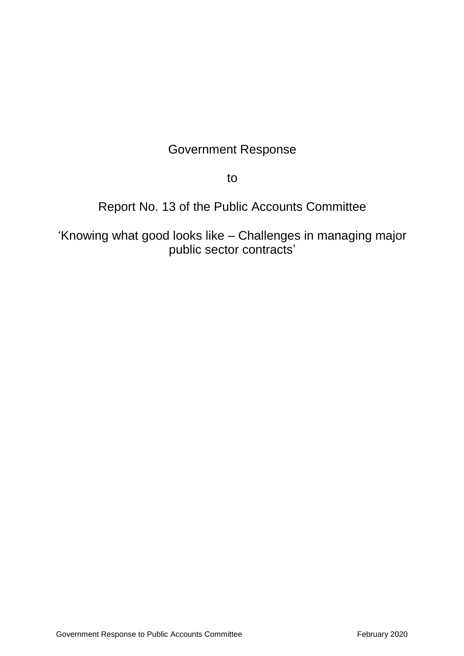# Government Response

to

# Report No. 13 of the Public Accounts Committee

'Knowing what good looks like – Challenges in managing major public sector contracts'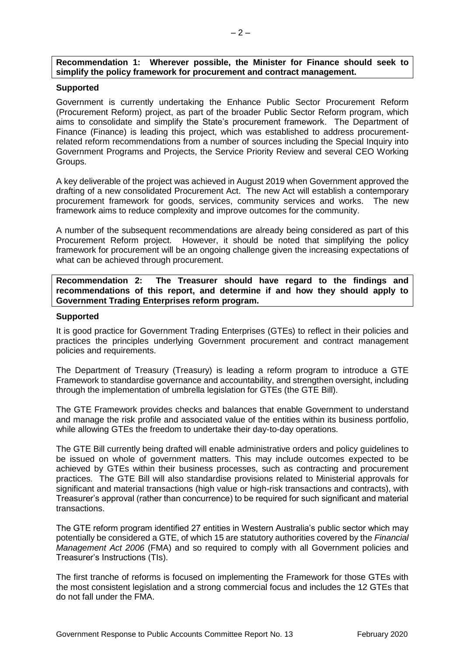## **Recommendation 1: Wherever possible, the Minister for Finance should seek to simplify the policy framework for procurement and contract management.**

## **Supported**

Government is currently undertaking the Enhance Public Sector Procurement Reform (Procurement Reform) project, as part of the broader Public Sector Reform program, which aims to consolidate and simplify the State's procurement framework. The Department of Finance (Finance) is leading this project, which was established to address procurementrelated reform recommendations from a number of sources including the Special Inquiry into Government Programs and Projects, the Service Priority Review and several CEO Working Groups.

A key deliverable of the project was achieved in August 2019 when Government approved the drafting of a new consolidated Procurement Act. The new Act will establish a contemporary procurement framework for goods, services, community services and works. The new framework aims to reduce complexity and improve outcomes for the community.

A number of the subsequent recommendations are already being considered as part of this Procurement Reform project. However, it should be noted that simplifying the policy framework for procurement will be an ongoing challenge given the increasing expectations of what can be achieved through procurement.

**Recommendation 2: The Treasurer should have regard to the findings and recommendations of this report, and determine if and how they should apply to Government Trading Enterprises reform program.**

## **Supported**

It is good practice for Government Trading Enterprises (GTEs) to reflect in their policies and practices the principles underlying Government procurement and contract management policies and requirements.

The Department of Treasury (Treasury) is leading a reform program to introduce a GTE Framework to standardise governance and accountability, and strengthen oversight, including through the implementation of umbrella legislation for GTEs (the GTE Bill).

The GTE Framework provides checks and balances that enable Government to understand and manage the risk profile and associated value of the entities within its business portfolio, while allowing GTEs the freedom to undertake their day-to-day operations.

The GTE Bill currently being drafted will enable administrative orders and policy guidelines to be issued on whole of government matters. This may include outcomes expected to be achieved by GTEs within their business processes, such as contracting and procurement practices. The GTE Bill will also standardise provisions related to Ministerial approvals for significant and material transactions (high value or high-risk transactions and contracts), with Treasurer's approval (rather than concurrence) to be required for such significant and material transactions.

The GTE reform program identified 27 entities in Western Australia's public sector which may potentially be considered a GTE, of which 15 are statutory authorities covered by the *Financial Management Act 2006* (FMA) and so required to comply with all Government policies and Treasurer's Instructions (TIs).

The first tranche of reforms is focused on implementing the Framework for those GTEs with the most consistent legislation and a strong commercial focus and includes the 12 GTEs that do not fall under the FMA.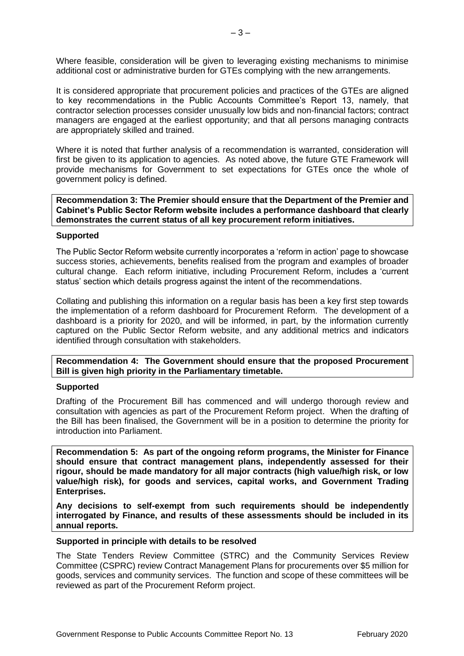Where feasible, consideration will be given to leveraging existing mechanisms to minimise additional cost or administrative burden for GTEs complying with the new arrangements.

It is considered appropriate that procurement policies and practices of the GTEs are aligned to key recommendations in the Public Accounts Committee's Report 13, namely, that contractor selection processes consider unusually low bids and non-financial factors; contract managers are engaged at the earliest opportunity; and that all persons managing contracts are appropriately skilled and trained.

Where it is noted that further analysis of a recommendation is warranted, consideration will first be given to its application to agencies. As noted above, the future GTE Framework will provide mechanisms for Government to set expectations for GTEs once the whole of government policy is defined.

**Recommendation 3: The Premier should ensure that the Department of the Premier and Cabinet's Public Sector Reform website includes a performance dashboard that clearly demonstrates the current status of all key procurement reform initiatives.**

## **Supported**

The Public Sector Reform website currently incorporates a 'reform in action' page to showcase success stories, achievements, benefits realised from the program and examples of broader cultural change. Each reform initiative, including Procurement Reform, includes a 'current status' section which details progress against the intent of the recommendations.

Collating and publishing this information on a regular basis has been a key first step towards the implementation of a reform dashboard for Procurement Reform. The development of a dashboard is a priority for 2020, and will be informed, in part, by the information currently captured on the Public Sector Reform website, and any additional metrics and indicators identified through consultation with stakeholders.

**Recommendation 4: The Government should ensure that the proposed Procurement Bill is given high priority in the Parliamentary timetable.**

## **Supported**

Drafting of the Procurement Bill has commenced and will undergo thorough review and consultation with agencies as part of the Procurement Reform project. When the drafting of the Bill has been finalised, the Government will be in a position to determine the priority for introduction into Parliament.

**Recommendation 5: As part of the ongoing reform programs, the Minister for Finance should ensure that contract management plans, independently assessed for their rigour, should be made mandatory for all major contracts (high value/high risk, or low value/high risk), for goods and services, capital works, and Government Trading Enterprises.**

**Any decisions to self-exempt from such requirements should be independently interrogated by Finance, and results of these assessments should be included in its annual reports.**

## **Supported in principle with details to be resolved**

The State Tenders Review Committee (STRC) and the Community Services Review Committee (CSPRC) review Contract Management Plans for procurements over \$5 million for goods, services and community services. The function and scope of these committees will be reviewed as part of the Procurement Reform project.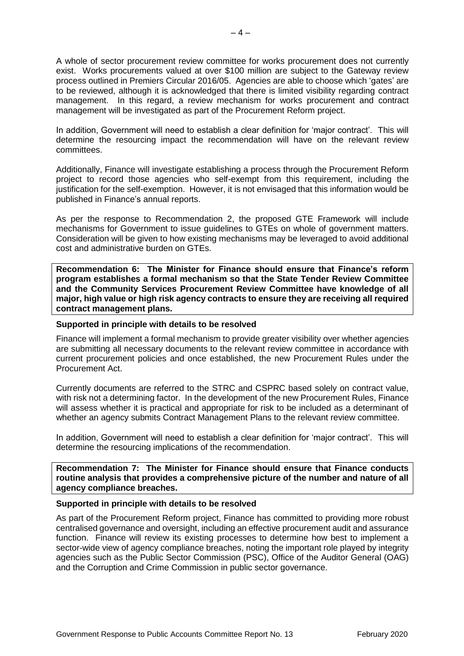A whole of sector procurement review committee for works procurement does not currently exist. Works procurements valued at over \$100 million are subject to the Gateway review process outlined in Premiers Circular 2016/05. Agencies are able to choose which 'gates' are to be reviewed, although it is acknowledged that there is limited visibility regarding contract management. In this regard, a review mechanism for works procurement and contract management will be investigated as part of the Procurement Reform project.

In addition, Government will need to establish a clear definition for 'major contract'. This will determine the resourcing impact the recommendation will have on the relevant review committees.

Additionally, Finance will investigate establishing a process through the Procurement Reform project to record those agencies who self-exempt from this requirement, including the justification for the self-exemption. However, it is not envisaged that this information would be published in Finance's annual reports.

As per the response to Recommendation 2, the proposed GTE Framework will include mechanisms for Government to issue guidelines to GTEs on whole of government matters. Consideration will be given to how existing mechanisms may be leveraged to avoid additional cost and administrative burden on GTEs.

**Recommendation 6: The Minister for Finance should ensure that Finance's reform program establishes a formal mechanism so that the State Tender Review Committee and the Community Services Procurement Review Committee have knowledge of all major, high value or high risk agency contracts to ensure they are receiving all required contract management plans.**

# **Supported in principle with details to be resolved**

Finance will implement a formal mechanism to provide greater visibility over whether agencies are submitting all necessary documents to the relevant review committee in accordance with current procurement policies and once established, the new Procurement Rules under the Procurement Act.

Currently documents are referred to the STRC and CSPRC based solely on contract value, with risk not a determining factor. In the development of the new Procurement Rules, Finance will assess whether it is practical and appropriate for risk to be included as a determinant of whether an agency submits Contract Management Plans to the relevant review committee.

In addition, Government will need to establish a clear definition for 'major contract'. This will determine the resourcing implications of the recommendation.

**Recommendation 7: The Minister for Finance should ensure that Finance conducts routine analysis that provides a comprehensive picture of the number and nature of all agency compliance breaches.**

# **Supported in principle with details to be resolved**

As part of the Procurement Reform project, Finance has committed to providing more robust centralised governance and oversight, including an effective procurement audit and assurance function. Finance will review its existing processes to determine how best to implement a sector-wide view of agency compliance breaches, noting the important role played by integrity agencies such as the Public Sector Commission (PSC), Office of the Auditor General (OAG) and the Corruption and Crime Commission in public sector governance.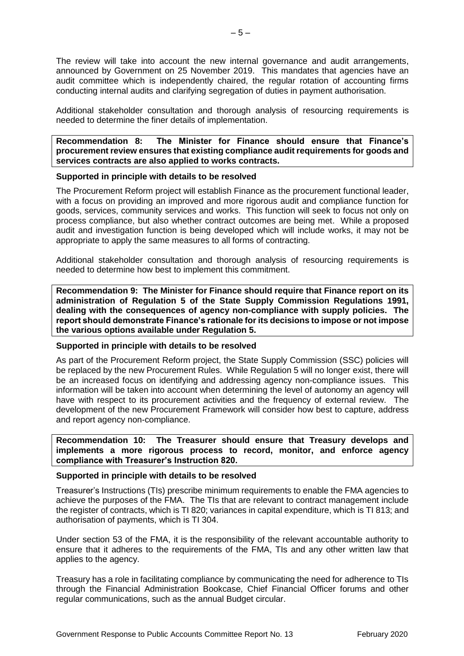The review will take into account the new internal governance and audit arrangements, announced by Government on 25 November 2019. This mandates that agencies have an audit committee which is independently chaired, the regular rotation of accounting firms conducting internal audits and clarifying segregation of duties in payment authorisation.

Additional stakeholder consultation and thorough analysis of resourcing requirements is needed to determine the finer details of implementation.

**Recommendation 8: The Minister for Finance should ensure that Finance's procurement review ensures that existing compliance audit requirements for goods and services contracts are also applied to works contracts.**

# **Supported in principle with details to be resolved**

The Procurement Reform project will establish Finance as the procurement functional leader, with a focus on providing an improved and more rigorous audit and compliance function for goods, services, community services and works. This function will seek to focus not only on process compliance, but also whether contract outcomes are being met. While a proposed audit and investigation function is being developed which will include works, it may not be appropriate to apply the same measures to all forms of contracting.

Additional stakeholder consultation and thorough analysis of resourcing requirements is needed to determine how best to implement this commitment.

**Recommendation 9: The Minister for Finance should require that Finance report on its administration of Regulation 5 of the State Supply Commission Regulations 1991, dealing with the consequences of agency non-compliance with supply policies. The report should demonstrate Finance's rationale for its decisions to impose or not impose the various options available under Regulation 5.**

## **Supported in principle with details to be resolved**

As part of the Procurement Reform project, the State Supply Commission (SSC) policies will be replaced by the new Procurement Rules. While Regulation 5 will no longer exist, there will be an increased focus on identifying and addressing agency non-compliance issues. This information will be taken into account when determining the level of autonomy an agency will have with respect to its procurement activities and the frequency of external review. The development of the new Procurement Framework will consider how best to capture, address and report agency non-compliance.

**Recommendation 10: The Treasurer should ensure that Treasury develops and implements a more rigorous process to record, monitor, and enforce agency compliance with Treasurer's Instruction 820.**

## **Supported in principle with details to be resolved**

Treasurer's Instructions (TIs) prescribe minimum requirements to enable the FMA agencies to achieve the purposes of the FMA. The TIs that are relevant to contract management include the register of contracts, which is TI 820; variances in capital expenditure, which is TI 813; and authorisation of payments, which is TI 304.

Under section 53 of the FMA, it is the responsibility of the relevant accountable authority to ensure that it adheres to the requirements of the FMA, TIs and any other written law that applies to the agency.

Treasury has a role in facilitating compliance by communicating the need for adherence to TIs through the Financial Administration Bookcase, Chief Financial Officer forums and other regular communications, such as the annual Budget circular.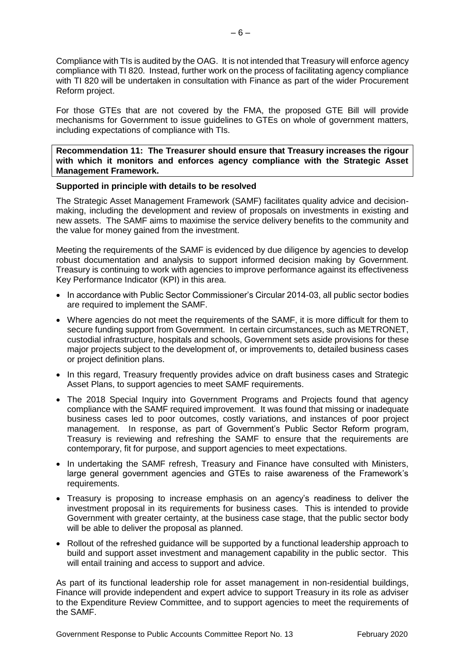Compliance with TIs is audited by the OAG. It is not intended that Treasury will enforce agency compliance with TI 820. Instead, further work on the process of facilitating agency compliance with TI 820 will be undertaken in consultation with Finance as part of the wider Procurement Reform project.

For those GTEs that are not covered by the FMA, the proposed GTE Bill will provide mechanisms for Government to issue guidelines to GTEs on whole of government matters, including expectations of compliance with TIs.

**Recommendation 11: The Treasurer should ensure that Treasury increases the rigour with which it monitors and enforces agency compliance with the Strategic Asset Management Framework.**

# **Supported in principle with details to be resolved**

The Strategic Asset Management Framework (SAMF) facilitates quality advice and decisionmaking, including the development and review of proposals on investments in existing and new assets. The SAMF aims to maximise the service delivery benefits to the community and the value for money gained from the investment.

Meeting the requirements of the SAMF is evidenced by due diligence by agencies to develop robust documentation and analysis to support informed decision making by Government. Treasury is continuing to work with agencies to improve performance against its effectiveness Key Performance Indicator (KPI) in this area.

- In accordance with Public Sector Commissioner's Circular 2014-03, all public sector bodies are required to implement the SAMF.
- Where agencies do not meet the requirements of the SAMF, it is more difficult for them to secure funding support from Government. In certain circumstances, such as METRONET, custodial infrastructure, hospitals and schools, Government sets aside provisions for these major projects subject to the development of, or improvements to, detailed business cases or project definition plans.
- In this regard, Treasury frequently provides advice on draft business cases and Strategic Asset Plans, to support agencies to meet SAMF requirements.
- The 2018 Special Inquiry into Government Programs and Projects found that agency compliance with the SAMF required improvement. It was found that missing or inadequate business cases led to poor outcomes, costly variations, and instances of poor project management. In response, as part of Government's Public Sector Reform program, Treasury is reviewing and refreshing the SAMF to ensure that the requirements are contemporary, fit for purpose, and support agencies to meet expectations.
- In undertaking the SAMF refresh, Treasury and Finance have consulted with Ministers, large general government agencies and GTEs to raise awareness of the Framework's requirements.
- Treasury is proposing to increase emphasis on an agency's readiness to deliver the investment proposal in its requirements for business cases. This is intended to provide Government with greater certainty, at the business case stage, that the public sector body will be able to deliver the proposal as planned.
- Rollout of the refreshed guidance will be supported by a functional leadership approach to build and support asset investment and management capability in the public sector. This will entail training and access to support and advice.

As part of its functional leadership role for asset management in non-residential buildings, Finance will provide independent and expert advice to support Treasury in its role as adviser to the Expenditure Review Committee, and to support agencies to meet the requirements of the SAMF.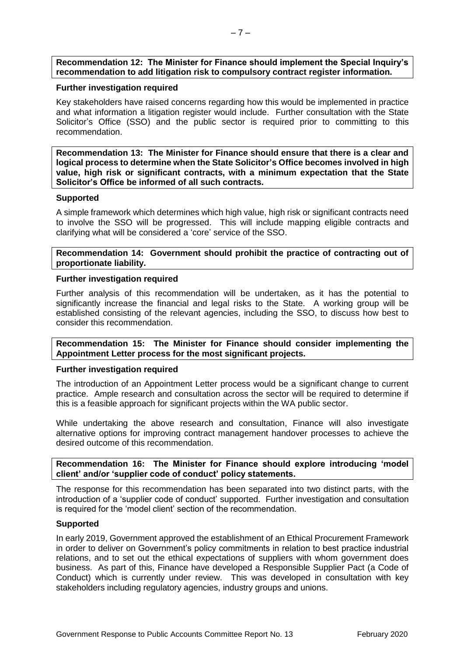# **Recommendation 12: The Minister for Finance should implement the Special Inquiry's recommendation to add litigation risk to compulsory contract register information.**

# **Further investigation required**

Key stakeholders have raised concerns regarding how this would be implemented in practice and what information a litigation register would include. Further consultation with the State Solicitor's Office (SSO) and the public sector is required prior to committing to this recommendation.

**Recommendation 13: The Minister for Finance should ensure that there is a clear and logical process to determine when the State Solicitor's Office becomes involved in high value, high risk or significant contracts, with a minimum expectation that the State Solicitor's Office be informed of all such contracts.**

## **Supported**

A simple framework which determines which high value, high risk or significant contracts need to involve the SSO will be progressed. This will include mapping eligible contracts and clarifying what will be considered a 'core' service of the SSO.

**Recommendation 14: Government should prohibit the practice of contracting out of proportionate liability.**

# **Further investigation required**

Further analysis of this recommendation will be undertaken, as it has the potential to significantly increase the financial and legal risks to the State. A working group will be established consisting of the relevant agencies, including the SSO, to discuss how best to consider this recommendation.

# **Recommendation 15: The Minister for Finance should consider implementing the Appointment Letter process for the most significant projects.**

## **Further investigation required**

The introduction of an Appointment Letter process would be a significant change to current practice. Ample research and consultation across the sector will be required to determine if this is a feasible approach for significant projects within the WA public sector.

While undertaking the above research and consultation, Finance will also investigate alternative options for improving contract management handover processes to achieve the desired outcome of this recommendation.

# **Recommendation 16: The Minister for Finance should explore introducing 'model client' and/or 'supplier code of conduct' policy statements.**

The response for this recommendation has been separated into two distinct parts, with the introduction of a 'supplier code of conduct' supported. Further investigation and consultation is required for the 'model client' section of the recommendation.

## **Supported**

In early 2019, Government approved the establishment of an Ethical Procurement Framework in order to deliver on Government's policy commitments in relation to best practice industrial relations, and to set out the ethical expectations of suppliers with whom government does business. As part of this, Finance have developed a Responsible Supplier Pact (a Code of Conduct) which is currently under review. This was developed in consultation with key stakeholders including regulatory agencies, industry groups and unions.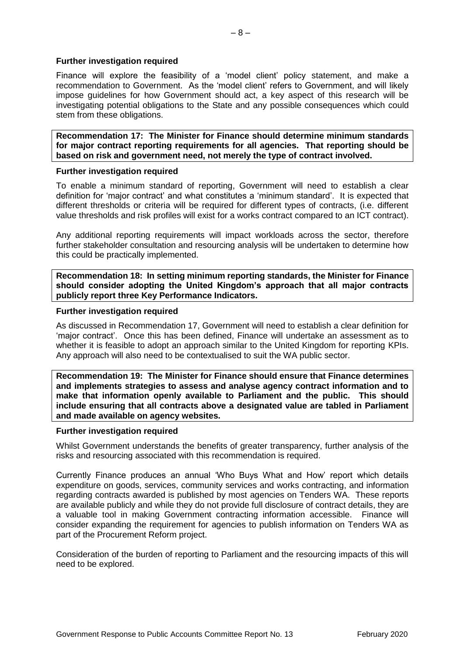## **Further investigation required**

Finance will explore the feasibility of a 'model client' policy statement, and make a recommendation to Government. As the 'model client' refers to Government, and will likely impose guidelines for how Government should act, a key aspect of this research will be investigating potential obligations to the State and any possible consequences which could stem from these obligations.

**Recommendation 17: The Minister for Finance should determine minimum standards for major contract reporting requirements for all agencies. That reporting should be based on risk and government need, not merely the type of contract involved.**

## **Further investigation required**

To enable a minimum standard of reporting, Government will need to establish a clear definition for 'major contract' and what constitutes a 'minimum standard'. It is expected that different thresholds or criteria will be required for different types of contracts, (i.e. different value thresholds and risk profiles will exist for a works contract compared to an ICT contract).

Any additional reporting requirements will impact workloads across the sector, therefore further stakeholder consultation and resourcing analysis will be undertaken to determine how this could be practically implemented.

**Recommendation 18: In setting minimum reporting standards, the Minister for Finance should consider adopting the United Kingdom's approach that all major contracts publicly report three Key Performance Indicators.**

# **Further investigation required**

As discussed in Recommendation 17, Government will need to establish a clear definition for 'major contract'. Once this has been defined, Finance will undertake an assessment as to whether it is feasible to adopt an approach similar to the United Kingdom for reporting KPIs. Any approach will also need to be contextualised to suit the WA public sector.

**Recommendation 19: The Minister for Finance should ensure that Finance determines and implements strategies to assess and analyse agency contract information and to make that information openly available to Parliament and the public. This should include ensuring that all contracts above a designated value are tabled in Parliament and made available on agency websites.**

## **Further investigation required**

Whilst Government understands the benefits of greater transparency, further analysis of the risks and resourcing associated with this recommendation is required.

Currently Finance produces an annual 'Who Buys What and How' report which details expenditure on goods, services, community services and works contracting, and information regarding contracts awarded is published by most agencies on Tenders WA. These reports are available publicly and while they do not provide full disclosure of contract details, they are a valuable tool in making Government contracting information accessible. Finance will consider expanding the requirement for agencies to publish information on Tenders WA as part of the Procurement Reform project.

Consideration of the burden of reporting to Parliament and the resourcing impacts of this will need to be explored.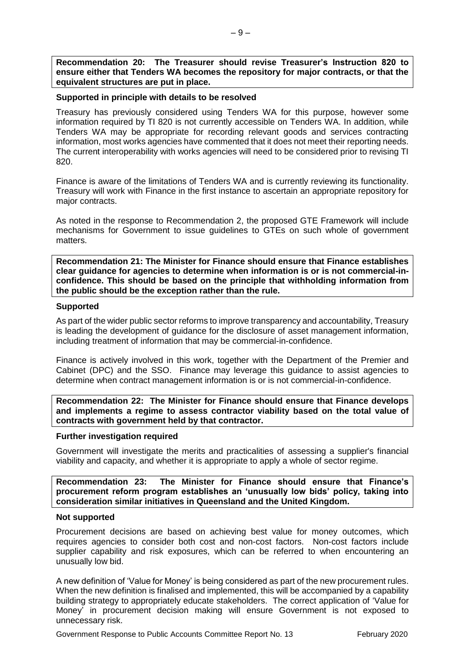**Recommendation 20: The Treasurer should revise Treasurer's Instruction 820 to ensure either that Tenders WA becomes the repository for major contracts, or that the equivalent structures are put in place.**

## **Supported in principle with details to be resolved**

Treasury has previously considered using Tenders WA for this purpose, however some information required by TI 820 is not currently accessible on Tenders WA. In addition, while Tenders WA may be appropriate for recording relevant goods and services contracting information, most works agencies have commented that it does not meet their reporting needs. The current interoperability with works agencies will need to be considered prior to revising TI 820.

Finance is aware of the limitations of Tenders WA and is currently reviewing its functionality. Treasury will work with Finance in the first instance to ascertain an appropriate repository for major contracts.

As noted in the response to Recommendation 2, the proposed GTE Framework will include mechanisms for Government to issue guidelines to GTEs on such whole of government matters.

**Recommendation 21: The Minister for Finance should ensure that Finance establishes clear guidance for agencies to determine when information is or is not commercial-inconfidence. This should be based on the principle that withholding information from the public should be the exception rather than the rule.**

# **Supported**

As part of the wider public sector reforms to improve transparency and accountability, Treasury is leading the development of guidance for the disclosure of asset management information, including treatment of information that may be commercial-in-confidence.

Finance is actively involved in this work, together with the Department of the Premier and Cabinet (DPC) and the SSO. Finance may leverage this guidance to assist agencies to determine when contract management information is or is not commercial-in-confidence.

**Recommendation 22: The Minister for Finance should ensure that Finance develops and implements a regime to assess contractor viability based on the total value of contracts with government held by that contractor.**

## **Further investigation required**

Government will investigate the merits and practicalities of assessing a supplier's financial viability and capacity, and whether it is appropriate to apply a whole of sector regime.

**Recommendation 23: The Minister for Finance should ensure that Finance's procurement reform program establishes an 'unusually low bids' policy, taking into consideration similar initiatives in Queensland and the United Kingdom.**

## **Not supported**

Procurement decisions are based on achieving best value for money outcomes, which requires agencies to consider both cost and non-cost factors. Non-cost factors include supplier capability and risk exposures, which can be referred to when encountering an unusually low bid.

A new definition of 'Value for Money' is being considered as part of the new procurement rules. When the new definition is finalised and implemented, this will be accompanied by a capability building strategy to appropriately educate stakeholders. The correct application of 'Value for Money' in procurement decision making will ensure Government is not exposed to unnecessary risk.

Government Response to Public Accounts Committee Report No. 13 February 2020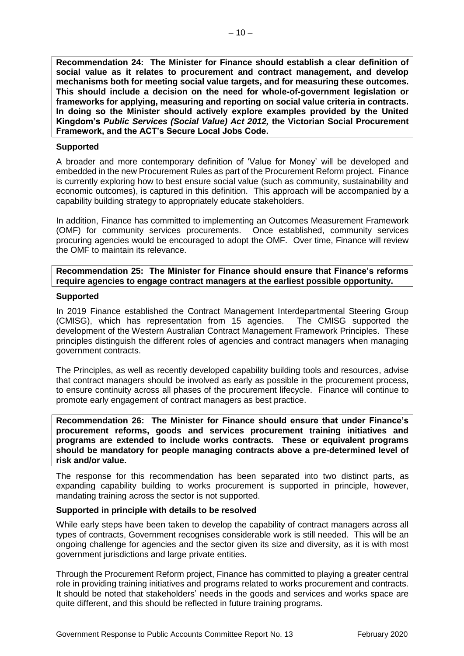**Recommendation 24: The Minister for Finance should establish a clear definition of social value as it relates to procurement and contract management, and develop mechanisms both for meeting social value targets, and for measuring these outcomes. This should include a decision on the need for whole-of-government legislation or frameworks for applying, measuring and reporting on social value criteria in contracts. In doing so the Minister should actively explore examples provided by the United Kingdom's** *Public Services (Social Value) Act 2012,* **the Victorian Social Procurement Framework, and the ACT's Secure Local Jobs Code.**

## **Supported**

A broader and more contemporary definition of 'Value for Money' will be developed and embedded in the new Procurement Rules as part of the Procurement Reform project. Finance is currently exploring how to best ensure social value (such as community, sustainability and economic outcomes), is captured in this definition. This approach will be accompanied by a capability building strategy to appropriately educate stakeholders.

In addition, Finance has committed to implementing an Outcomes Measurement Framework (OMF) for community services procurements. Once established, community services procuring agencies would be encouraged to adopt the OMF. Over time, Finance will review the OMF to maintain its relevance.

**Recommendation 25: The Minister for Finance should ensure that Finance's reforms require agencies to engage contract managers at the earliest possible opportunity.**

# **Supported**

In 2019 Finance established the Contract Management Interdepartmental Steering Group (CMISG), which has representation from 15 agencies. The CMISG supported the development of the Western Australian Contract Management Framework Principles. These principles distinguish the different roles of agencies and contract managers when managing government contracts.

The Principles, as well as recently developed capability building tools and resources, advise that contract managers should be involved as early as possible in the procurement process, to ensure continuity across all phases of the procurement lifecycle. Finance will continue to promote early engagement of contract managers as best practice.

**Recommendation 26: The Minister for Finance should ensure that under Finance's procurement reforms, goods and services procurement training initiatives and programs are extended to include works contracts. These or equivalent programs should be mandatory for people managing contracts above a pre-determined level of risk and/or value.**

The response for this recommendation has been separated into two distinct parts, as expanding capability building to works procurement is supported in principle, however, mandating training across the sector is not supported.

## **Supported in principle with details to be resolved**

While early steps have been taken to develop the capability of contract managers across all types of contracts, Government recognises considerable work is still needed. This will be an ongoing challenge for agencies and the sector given its size and diversity, as it is with most government jurisdictions and large private entities.

Through the Procurement Reform project, Finance has committed to playing a greater central role in providing training initiatives and programs related to works procurement and contracts. It should be noted that stakeholders' needs in the goods and services and works space are quite different, and this should be reflected in future training programs.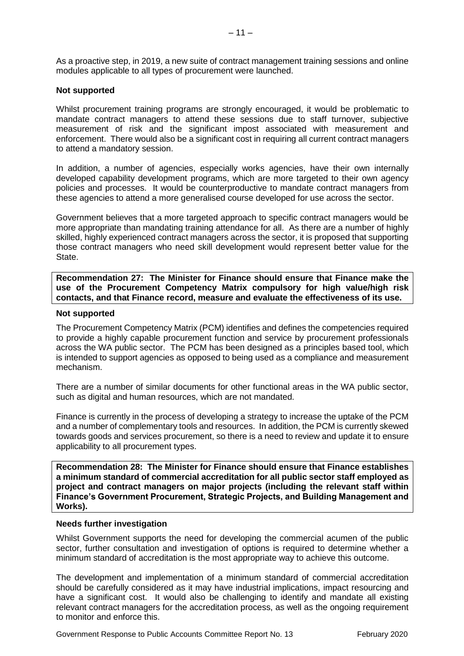As a proactive step, in 2019, a new suite of contract management training sessions and online modules applicable to all types of procurement were launched.

## **Not supported**

Whilst procurement training programs are strongly encouraged, it would be problematic to mandate contract managers to attend these sessions due to staff turnover, subjective measurement of risk and the significant impost associated with measurement and enforcement. There would also be a significant cost in requiring all current contract managers to attend a mandatory session.

In addition, a number of agencies, especially works agencies, have their own internally developed capability development programs, which are more targeted to their own agency policies and processes. It would be counterproductive to mandate contract managers from these agencies to attend a more generalised course developed for use across the sector.

Government believes that a more targeted approach to specific contract managers would be more appropriate than mandating training attendance for all. As there are a number of highly skilled, highly experienced contract managers across the sector, it is proposed that supporting those contract managers who need skill development would represent better value for the State.

**Recommendation 27: The Minister for Finance should ensure that Finance make the use of the Procurement Competency Matrix compulsory for high value/high risk contacts, and that Finance record, measure and evaluate the effectiveness of its use.**

## **Not supported**

The Procurement Competency Matrix (PCM) identifies and defines the competencies required to provide a highly capable procurement function and service by procurement professionals across the WA public sector. The PCM has been designed as a principles based tool, which is intended to support agencies as opposed to being used as a compliance and measurement mechanism.

There are a number of similar documents for other functional areas in the WA public sector, such as digital and human resources, which are not mandated.

Finance is currently in the process of developing a strategy to increase the uptake of the PCM and a number of complementary tools and resources. In addition, the PCM is currently skewed towards goods and services procurement, so there is a need to review and update it to ensure applicability to all procurement types.

**Recommendation 28: The Minister for Finance should ensure that Finance establishes a minimum standard of commercial accreditation for all public sector staff employed as project and contract managers on major projects (including the relevant staff within Finance's Government Procurement, Strategic Projects, and Building Management and Works).**

## **Needs further investigation**

Whilst Government supports the need for developing the commercial acumen of the public sector, further consultation and investigation of options is required to determine whether a minimum standard of accreditation is the most appropriate way to achieve this outcome.

The development and implementation of a minimum standard of commercial accreditation should be carefully considered as it may have industrial implications, impact resourcing and have a significant cost. It would also be challenging to identify and mandate all existing relevant contract managers for the accreditation process, as well as the ongoing requirement to monitor and enforce this.

Government Response to Public Accounts Committee Report No. 13 February 2020